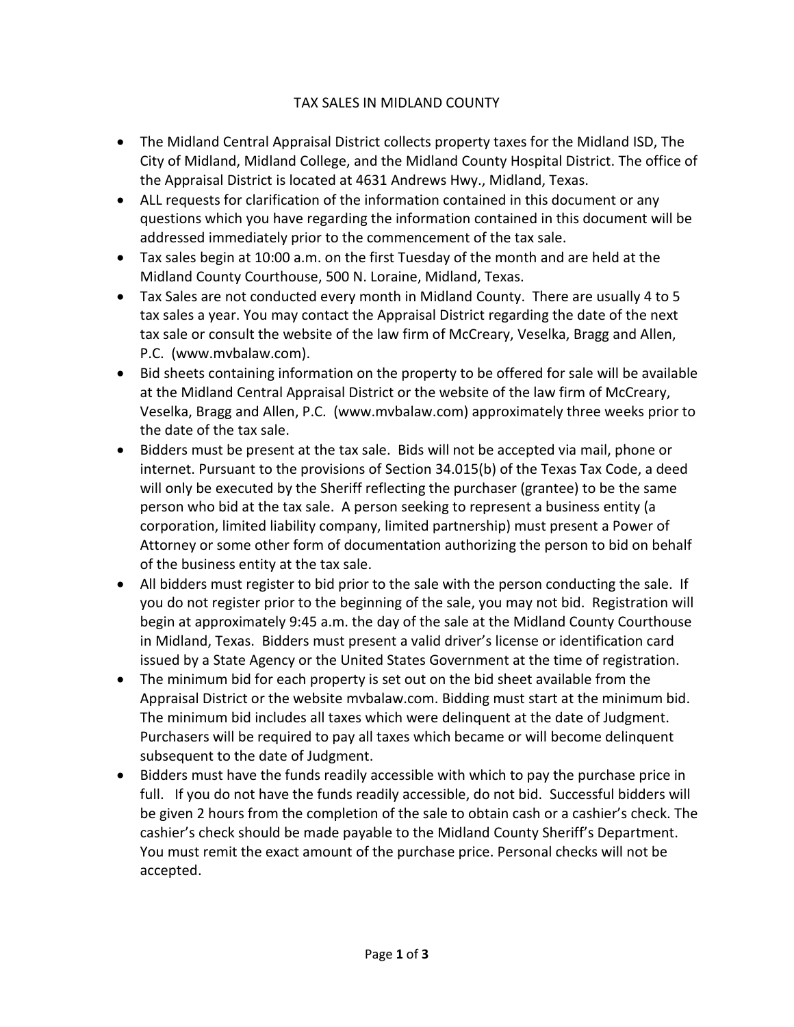## TAX SALES IN MIDLAND COUNTY

- The Midland Central Appraisal District collects property taxes for the Midland ISD, The City of Midland, Midland College, and the Midland County Hospital District. The office of the Appraisal District is located at 4631 Andrews Hwy., Midland, Texas.
- ALL requests for clarification of the information contained in this document or any questions which you have regarding the information contained in this document will be addressed immediately prior to the commencement of the tax sale.
- Tax sales begin at 10:00 a.m. on the first Tuesday of the month and are held at the Midland County Courthouse, 500 N. Loraine, Midland, Texas.
- Tax Sales are not conducted every month in Midland County. There are usually 4 to 5 tax sales a year. You may contact the Appraisal District regarding the date of the next tax sale or consult the website of the law firm of McCreary, Veselka, Bragg and Allen, P.C. (www.mvbalaw.com).
- Bid sheets containing information on the property to be offered for sale will be available at the Midland Central Appraisal District or the website of the law firm of McCreary, Veselka, Bragg and Allen, P.C. (www.mvbalaw.com) approximately three weeks prior to the date of the tax sale.
- Bidders must be present at the tax sale. Bids will not be accepted via mail, phone or internet. Pursuant to the provisions of Section 34.015(b) of the Texas Tax Code, a deed will only be executed by the Sheriff reflecting the purchaser (grantee) to be the same person who bid at the tax sale. A person seeking to represent a business entity (a corporation, limited liability company, limited partnership) must present a Power of Attorney or some other form of documentation authorizing the person to bid on behalf of the business entity at the tax sale.
- All bidders must register to bid prior to the sale with the person conducting the sale. If you do not register prior to the beginning of the sale, you may not bid. Registration will begin at approximately 9:45 a.m. the day of the sale at the Midland County Courthouse in Midland, Texas. Bidders must present a valid driver's license or identification card issued by a State Agency or the United States Government at the time of registration.
- The minimum bid for each property is set out on the bid sheet available from the Appraisal District or the website mvbalaw.com. Bidding must start at the minimum bid. The minimum bid includes all taxes which were delinquent at the date of Judgment. Purchasers will be required to pay all taxes which became or will become delinquent subsequent to the date of Judgment.
- Bidders must have the funds readily accessible with which to pay the purchase price in full. If you do not have the funds readily accessible, do not bid. Successful bidders will be given 2 hours from the completion of the sale to obtain cash or a cashier's check. The cashier's check should be made payable to the Midland County Sheriff's Department. You must remit the exact amount of the purchase price. Personal checks will not be accepted.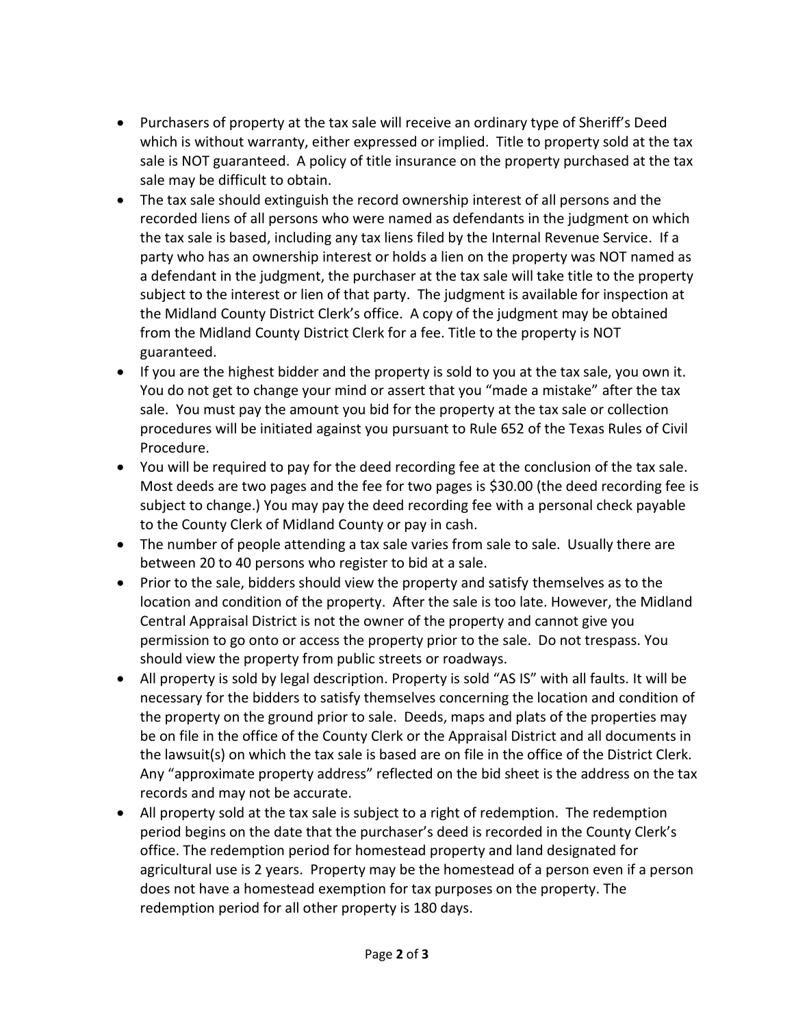- Purchasers of property at the tax sale will receive an ordinary type of Sheriff's Deed which is without warranty, either expressed or implied. Title to property sold at the tax sale is NOT guaranteed. A policy of title insurance on the property purchased at the tax sale may be difficult to obtain.
- The tax sale should extinguish the record ownership interest of all persons and the recorded liens of all persons who were named as defendants in the judgment on which the tax sale is based, including any tax liens filed by the Internal Revenue Service. If a party who has an ownership interest or holds a lien on the property was NOT named as a defendant in the judgment, the purchaser at the tax sale will take title to the property subject to the interest or lien of that party. The judgment is available for inspection at the Midland County District Clerk's office. A copy of the judgment may be obtained from the Midland County District Clerk for a fee. Title to the property is NOT guaranteed.
- If you are the highest bidder and the property is sold to you at the tax sale, you own it. You do not get to change your mind or assert that you "made a mistake" after the tax sale. You must pay the amount you bid for the property at the tax sale or collection procedures will be initiated against you pursuant to Rule 652 of the Texas Rules of Civil Procedure.
- You will be required to pay for the deed recording fee at the conclusion of the tax sale. Most deeds are two pages and the fee for two pages is \$30.00 (the deed recording fee is subject to change.) You may pay the deed recording fee with a personal check payable to the County Clerk of Midland County or pay in cash.
- The number of people attending a tax sale varies from sale to sale. Usually there are between 20 to 40 persons who register to bid at a sale.
- Prior to the sale, bidders should view the property and satisfy themselves as to the location and condition of the property. After the sale is too late. However, the Midland Central Appraisal District is not the owner of the property and cannot give you permission to go onto or access the property prior to the sale. Do not trespass. You should view the property from public streets or roadways.
- All property is sold by legal description. Property is sold "AS IS" with all faults. It will be necessary for the bidders to satisfy themselves concerning the location and condition of the property on the ground prior to sale. Deeds, maps and plats of the properties may be on file in the office of the County Clerk or the Appraisal District and all documents in the lawsuit(s) on which the tax sale is based are on file in the office of the District Clerk. Any "approximate property address" reflected on the bid sheet is the address on the tax records and may not be accurate.
- All property sold at the tax sale is subject to a right of redemption. The redemption period begins on the date that the purchaser's deed is recorded in the County Clerk's office. The redemption period for homestead property and land designated for agricultural use is 2 years. Property may be the homestead of a person even if a person does not have a homestead exemption for tax purposes on the property. The redemption period for all other property is 180 days.